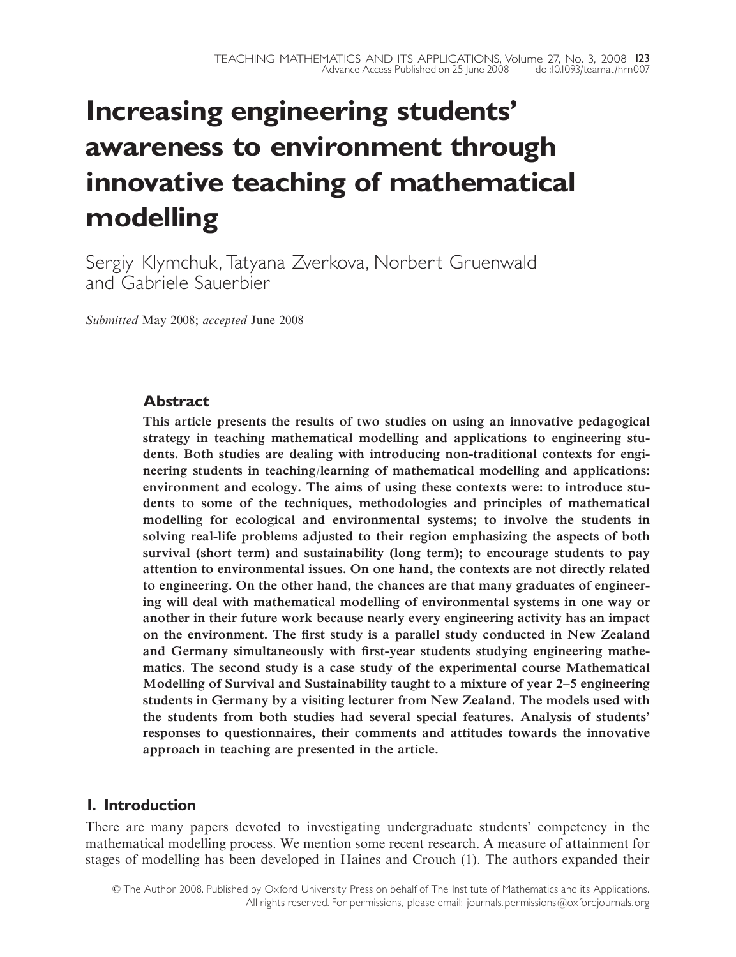# Increasing engineering students' awareness to environment through innovative teaching of mathematical modelling

Sergiy Klymchuk,Tatyana Zverkova, Norbert Gruenwald and Gabriele Sauerbier

Submitted May 2008; accepted June 2008

# **Abstract**

This article presents the results of two studies on using an innovative pedagogical strategy in teaching mathematical modelling and applications to engineering students. Both studies are dealing with introducing non-traditional contexts for engineering students in teaching/learning of mathematical modelling and applications: environment and ecology. The aims of using these contexts were: to introduce students to some of the techniques, methodologies and principles of mathematical modelling for ecological and environmental systems; to involve the students in solving real-life problems adjusted to their region emphasizing the aspects of both survival (short term) and sustainability (long term); to encourage students to pay attention to environmental issues. On one hand, the contexts are not directly related to engineering. On the other hand, the chances are that many graduates of engineering will deal with mathematical modelling of environmental systems in one way or another in their future work because nearly every engineering activity has an impact on the environment. The first study is a parallel study conducted in New Zealand and Germany simultaneously with first-year students studying engineering mathematics. The second study is a case study of the experimental course Mathematical Modelling of Survival and Sustainability taught to a mixture of year 2^5 engineering students in Germany by a visiting lecturer from New Zealand. The models used with the students from both studies had several special features. Analysis of students' responses to questionnaires, their comments and attitudes towards the innovative approach in teaching are presented in the article.

# 1. Introduction

There are many papers devoted to investigating undergraduate students' competency in the mathematical modelling process. We mention some recent research. A measure of attainment for stages of modelling has been developed in Haines and Crouch (1). The authors expanded their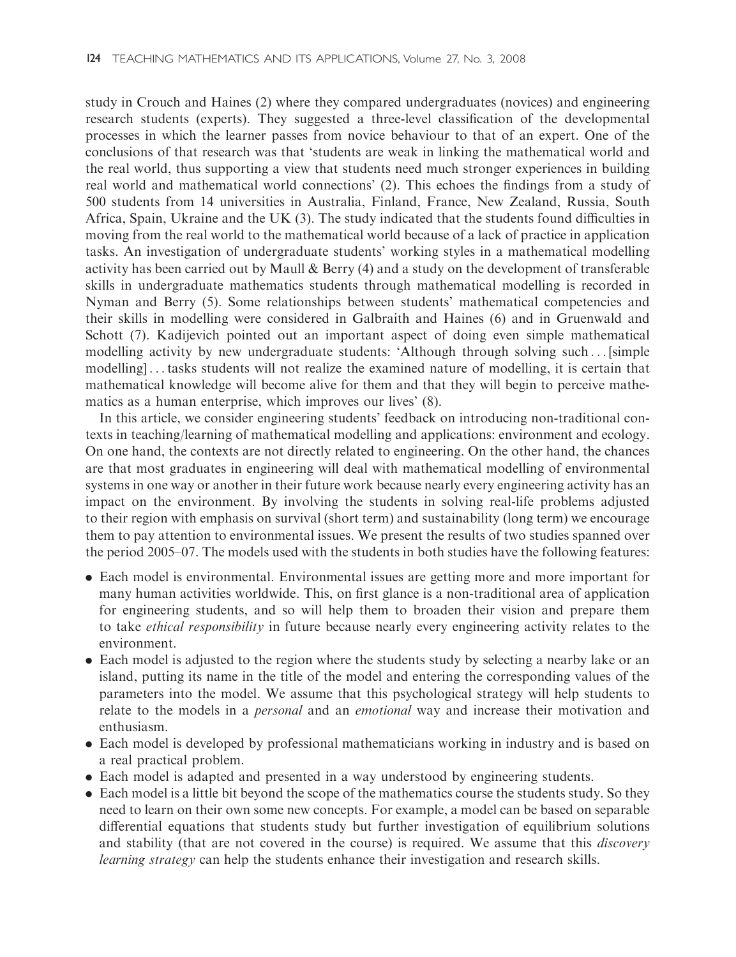study in Crouch and Haines (2) where they compared undergraduates (novices) and engineering research students (experts). They suggested a three-level classification of the developmental processes in which the learner passes from novice behaviour to that of an expert. One of the conclusions of that research was that 'students are weak in linking the mathematical world and the real world, thus supporting a view that students need much stronger experiences in building real world and mathematical world connections' (2). This echoes the findings from a study of 500 students from 14 universities in Australia, Finland, France, New Zealand, Russia, South Africa, Spain, Ukraine and the UK (3). The study indicated that the students found difficulties in moving from the real world to the mathematical world because of a lack of practice in application tasks. An investigation of undergraduate students' working styles in a mathematical modelling activity has been carried out by Maull & Berry (4) and a study on the development of transferable skills in undergraduate mathematics students through mathematical modelling is recorded in Nyman and Berry (5). Some relationships between students' mathematical competencies and their skills in modelling were considered in Galbraith and Haines (6) and in Gruenwald and Schott (7). Kadijevich pointed out an important aspect of doing even simple mathematical modelling activity by new undergraduate students: 'Although through solving such ... [simple modelling] ... tasks students will not realize the examined nature of modelling, it is certain that mathematical knowledge will become alive for them and that they will begin to perceive mathematics as a human enterprise, which improves our lives' (8).

In this article, we consider engineering students' feedback on introducing non-traditional contexts in teaching/learning of mathematical modelling and applications: environment and ecology. On one hand, the contexts are not directly related to engineering. On the other hand, the chances are that most graduates in engineering will deal with mathematical modelling of environmental systems in one way or another in their future work because nearly every engineering activity has an impact on the environment. By involving the students in solving real-life problems adjusted to their region with emphasis on survival (short term) and sustainability (long term) we encourage them to pay attention to environmental issues. We present the results of two studies spanned over the period 2005–07. The models used with the students in both studies have the following features:

- . Each model is environmental. Environmental issues are getting more and more important for many human activities worldwide. This, on first glance is a non-traditional area of application for engineering students, and so will help them to broaden their vision and prepare them to take ethical responsibility in future because nearly every engineering activity relates to the environment.
- . Each model is adjusted to the region where the students study by selecting a nearby lake or an island, putting its name in the title of the model and entering the corresponding values of the parameters into the model. We assume that this psychological strategy will help students to relate to the models in a *personal* and an *emotional* way and increase their motivation and enthusiasm.
- . Each model is developed by professional mathematicians working in industry and is based on a real practical problem.
- . Each model is adapted and presented in a way understood by engineering students.
- . Each model is a little bit beyond the scope of the mathematics course the students study. So they need to learn on their own some new concepts. For example, a model can be based on separable differential equations that students study but further investigation of equilibrium solutions and stability (that are not covered in the course) is required. We assume that this *discovery* learning strategy can help the students enhance their investigation and research skills.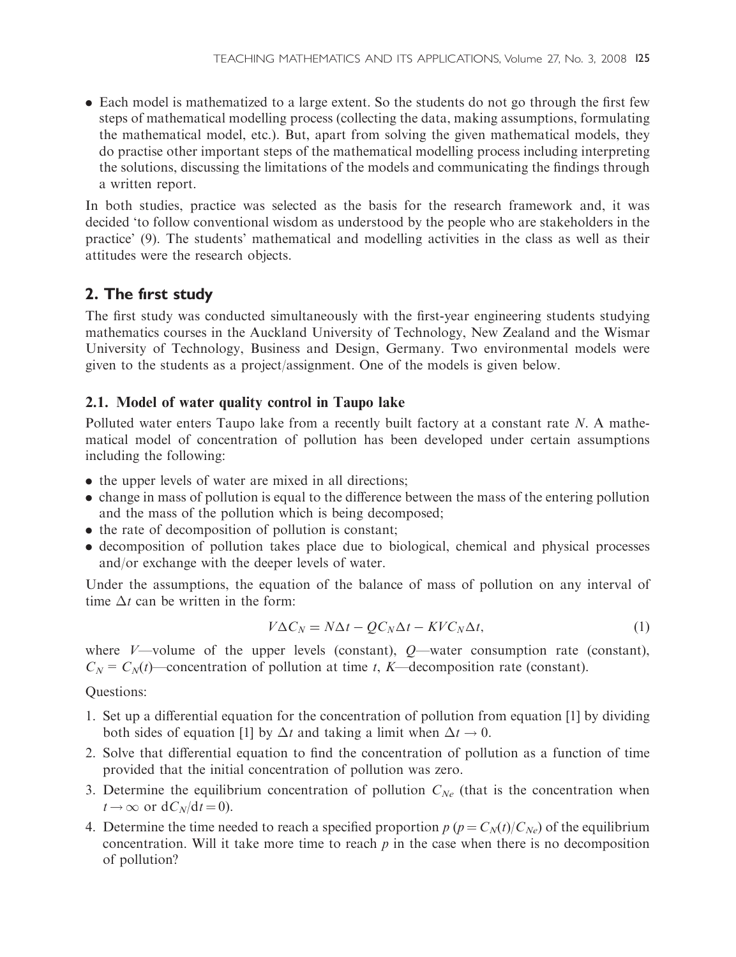. Each model is mathematized to a large extent. So the students do not go through the first few steps of mathematical modelling process (collecting the data, making assumptions, formulating the mathematical model, etc.). But, apart from solving the given mathematical models, they do practise other important steps of the mathematical modelling process including interpreting the solutions, discussing the limitations of the models and communicating the findings through a written report.

In both studies, practice was selected as the basis for the research framework and, it was decided 'to follow conventional wisdom as understood by the people who are stakeholders in the practice' (9). The students' mathematical and modelling activities in the class as well as their attitudes were the research objects.

# 2. The first study

The first study was conducted simultaneously with the first-year engineering students studying mathematics courses in the Auckland University of Technology, New Zealand and the Wismar University of Technology, Business and Design, Germany. Two environmental models were given to the students as a project/assignment. One of the models is given below.

## 2.1. Model of water quality control in Taupo lake

Polluted water enters Taupo lake from a recently built factory at a constant rate N. A mathematical model of concentration of pollution has been developed under certain assumptions including the following:

- . the upper levels of water are mixed in all directions;
- . change in mass of pollution is equal to the difference between the mass of the entering pollution and the mass of the pollution which is being decomposed;
- . the rate of decomposition of pollution is constant;
- . decomposition of pollution takes place due to biological, chemical and physical processes and/or exchange with the deeper levels of water.

Under the assumptions, the equation of the balance of mass of pollution on any interval of time  $\Delta t$  can be written in the form:

$$
V\Delta C_N = N\Delta t - QC_N\Delta t - KVC_N\Delta t, \qquad (1)
$$

where  $V$ —volume of the upper levels (constant),  $Q$ —water consumption rate (constant),  $C_N = C_N(t)$ —concentration of pollution at time t, K—decomposition rate (constant).

Questions:

- 1. Set up a differential equation for the concentration of pollution from equation [1] by dividing both sides of equation [1] by  $\Delta t$  and taking a limit when  $\Delta t \to 0$ .
- 2. Solve that differential equation to find the concentration of pollution as a function of time provided that the initial concentration of pollution was zero.
- 3. Determine the equilibrium concentration of pollution  $C_{Ne}$  (that is the concentration when  $t \rightarrow \infty$  or  $dC_N/dt = 0$ ).
- 4. Determine the time needed to reach a specified proportion  $p (p = C<sub>N</sub>(t)/C<sub>N<sub>e</sub></sub>)$  of the equilibrium concentration. Will it take more time to reach  $p$  in the case when there is no decomposition of pollution?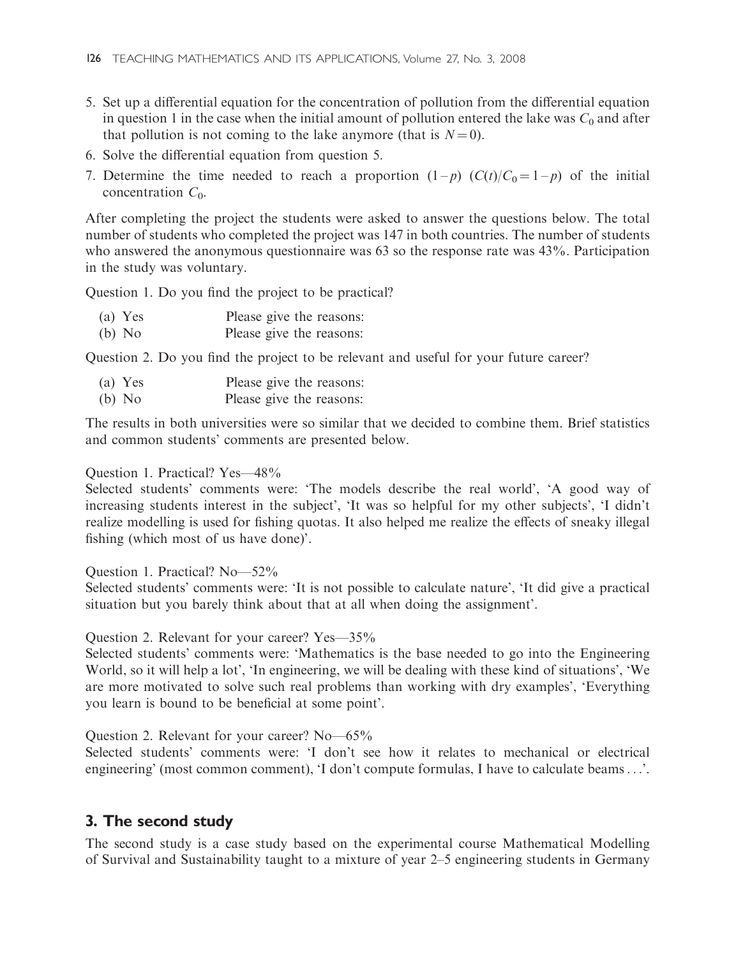- 5. Set up a differential equation for the concentration of pollution from the differential equation in question 1 in the case when the initial amount of pollution entered the lake was  $C_0$  and after that pollution is not coming to the lake anymore (that is  $N = 0$ ).
- 6. Solve the differential equation from question 5.
- 7. Determine the time needed to reach a proportion  $(1-p)$   $(C(t)/C_0 = 1-p)$  of the initial concentration  $C_0$ .

After completing the project the students were asked to answer the questions below. The total number of students who completed the project was 147 in both countries. The number of students who answered the anonymous questionnaire was 63 so the response rate was 43%. Participation in the study was voluntary.

Question 1. Do you find the project to be practical?

| (a) Yes  | Please give the reasons: |
|----------|--------------------------|
| $(b)$ No | Please give the reasons: |

Question 2. Do you find the project to be relevant and useful for your future career?

| $(a)$ Yes | Please give the reasons: |
|-----------|--------------------------|
| $(b)$ No  | Please give the reasons: |

The results in both universities were so similar that we decided to combine them. Brief statistics and common students' comments are presented below.

#### Question 1. Practical? Yes—48%

Selected students' comments were: 'The models describe the real world', 'A good way of increasing students interest in the subject', 'It was so helpful for my other subjects', 'I didn't realize modelling is used for fishing quotas. It also helped me realize the effects of sneaky illegal fishing (which most of us have done)'.

#### Question 1. Practical? No—52%

Selected students' comments were: 'It is not possible to calculate nature', 'It did give a practical situation but you barely think about that at all when doing the assignment'.

#### Question 2. Relevant for your career? Yes—35%

Selected students' comments were: 'Mathematics is the base needed to go into the Engineering World, so it will help a lot', 'In engineering, we will be dealing with these kind of situations', 'We are more motivated to solve such real problems than working with dry examples', 'Everything you learn is bound to be beneficial at some point'.

Question 2. Relevant for your career? No—65%

Selected students' comments were: 'I don't see how it relates to mechanical or electrical engineering' (most common comment), 'I don't compute formulas, I have to calculate beams...'.

## 3. The second study

The second study is a case study based on the experimental course Mathematical Modelling of Survival and Sustainability taught to a mixture of year 2–5 engineering students in Germany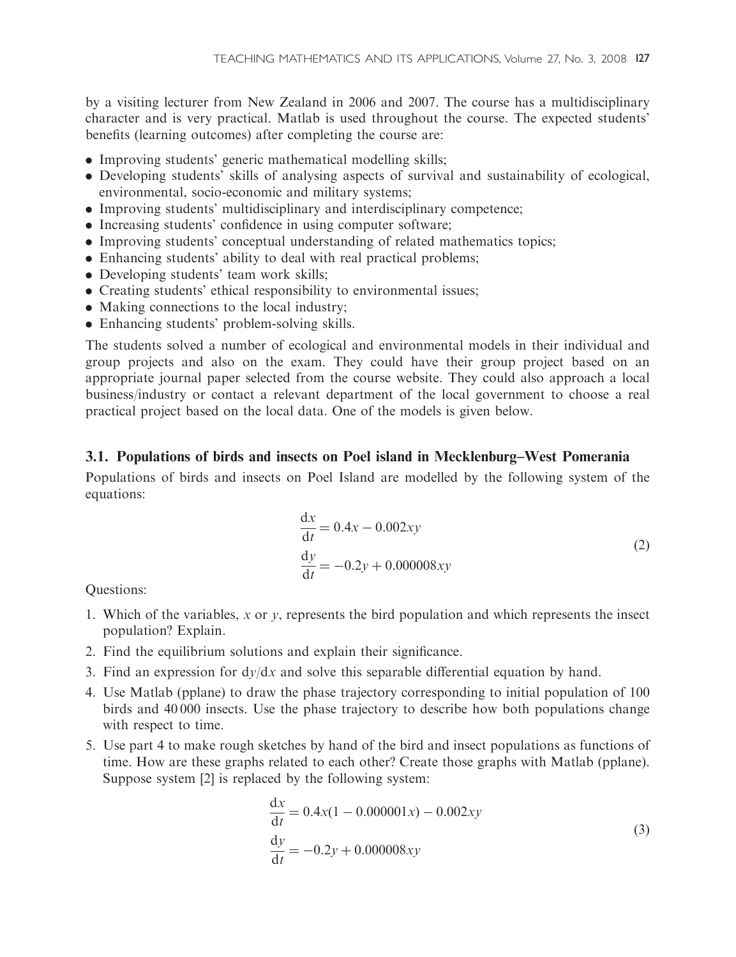by a visiting lecturer from New Zealand in 2006 and 2007. The course has a multidisciplinary character and is very practical. Matlab is used throughout the course. The expected students' benefits (learning outcomes) after completing the course are:

- . Improving students' generic mathematical modelling skills;
- . Developing students' skills of analysing aspects of survival and sustainability of ecological, environmental, socio-economic and military systems;
- . Improving students' multidisciplinary and interdisciplinary competence;
- . Increasing students' confidence in using computer software;
- . Improving students' conceptual understanding of related mathematics topics;
- . Enhancing students' ability to deal with real practical problems;
- . Developing students' team work skills;
- . Creating students' ethical responsibility to environmental issues;
- . Making connections to the local industry;
- . Enhancing students' problem-solving skills.

The students solved a number of ecological and environmental models in their individual and group projects and also on the exam. They could have their group project based on an appropriate journal paper selected from the course website. They could also approach a local business/industry or contact a relevant department of the local government to choose a real practical project based on the local data. One of the models is given below.

#### 3.1. Populations of birds and insects on Poel island in Mecklenburg–West Pomerania

Populations of birds and insects on Poel Island are modelled by the following system of the equations:

$$
\frac{dx}{dt} = 0.4x - 0.002xy
$$
  
\n
$$
\frac{dy}{dt} = -0.2y + 0.000008xy
$$
\n(2)

Questions:

- 1. Which of the variables, x or y, represents the bird population and which represents the insect population? Explain.
- 2. Find the equilibrium solutions and explain their significance.
- 3. Find an expression for  $\frac{dy}{dx}$  and solve this separable differential equation by hand.
- 4. Use Matlab (pplane) to draw the phase trajectory corresponding to initial population of 100 birds and 40 000 insects. Use the phase trajectory to describe how both populations change with respect to time.
- 5. Use part 4 to make rough sketches by hand of the bird and insect populations as functions of time. How are these graphs related to each other? Create those graphs with Matlab (pplane). Suppose system [2] is replaced by the following system:

$$
\frac{dx}{dt} = 0.4x(1 - 0.000001x) - 0.002xy
$$
  
\n
$$
\frac{dy}{dt} = -0.2y + 0.000008xy
$$
\n(3)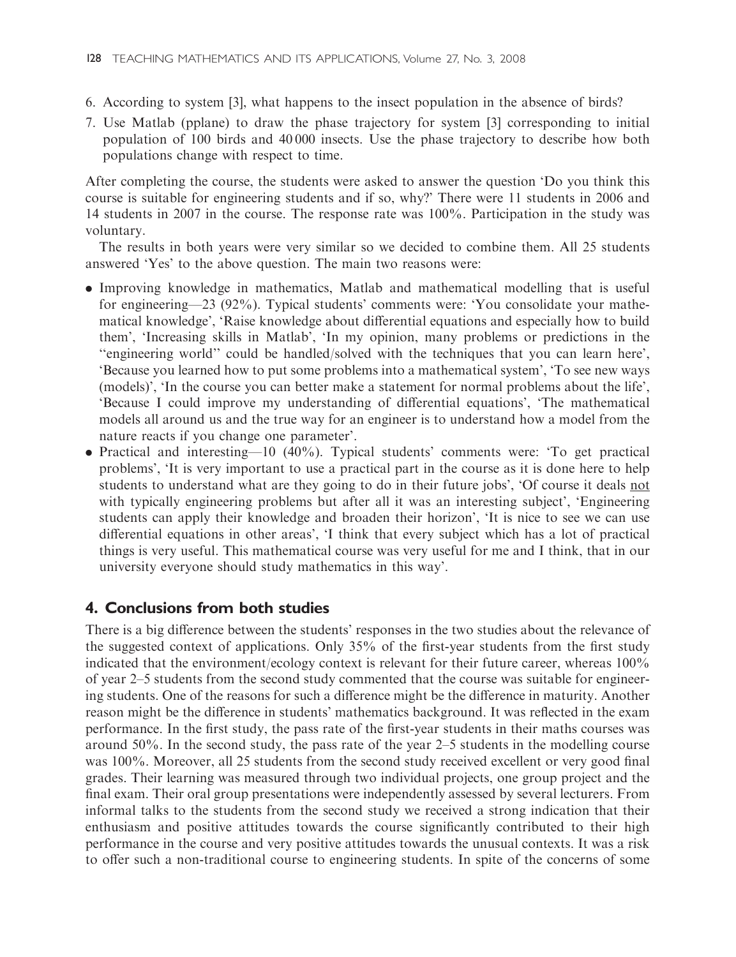- 6. According to system [3], what happens to the insect population in the absence of birds?
- 7. Use Matlab (pplane) to draw the phase trajectory for system [3] corresponding to initial population of 100 birds and 40 000 insects. Use the phase trajectory to describe how both populations change with respect to time.

After completing the course, the students were asked to answer the question 'Do you think this course is suitable for engineering students and if so, why?' There were 11 students in 2006 and 14 students in 2007 in the course. The response rate was 100%. Participation in the study was voluntary.

The results in both years were very similar so we decided to combine them. All 25 students answered 'Yes' to the above question. The main two reasons were:

- . Improving knowledge in mathematics, Matlab and mathematical modelling that is useful for engineering—23 (92%). Typical students' comments were: 'You consolidate your mathematical knowledge', 'Raise knowledge about differential equations and especially how to build them', 'Increasing skills in Matlab', 'In my opinion, many problems or predictions in the ''engineering world'' could be handled/solved with the techniques that you can learn here', 'Because you learned how to put some problems into a mathematical system', 'To see new ways (models)', 'In the course you can better make a statement for normal problems about the life', 'Because I could improve my understanding of differential equations', 'The mathematical models all around us and the true way for an engineer is to understand how a model from the nature reacts if you change one parameter'.
- . Practical and interesting—10 (40%). Typical students' comments were: 'To get practical problems', 'It is very important to use a practical part in the course as it is done here to help students to understand what are they going to do in their future jobs', 'Of course it deals not with typically engineering problems but after all it was an interesting subject', 'Engineering students can apply their knowledge and broaden their horizon', 'It is nice to see we can use differential equations in other areas', 'I think that every subject which has a lot of practical things is very useful. This mathematical course was very useful for me and I think, that in our university everyone should study mathematics in this way'.

## 4. Conclusions from both studies

There is a big difference between the students' responses in the two studies about the relevance of the suggested context of applications. Only 35% of the first-year students from the first study indicated that the environment/ecology context is relevant for their future career, whereas 100% of year 2–5 students from the second study commented that the course was suitable for engineering students. One of the reasons for such a difference might be the difference in maturity. Another reason might be the difference in students' mathematics background. It was reflected in the exam performance. In the first study, the pass rate of the first-year students in their maths courses was around 50%. In the second study, the pass rate of the year 2–5 students in the modelling course was 100%. Moreover, all 25 students from the second study received excellent or very good final grades. Their learning was measured through two individual projects, one group project and the final exam. Their oral group presentations were independently assessed by several lecturers. From informal talks to the students from the second study we received a strong indication that their enthusiasm and positive attitudes towards the course significantly contributed to their high performance in the course and very positive attitudes towards the unusual contexts. It was a risk to offer such a non-traditional course to engineering students. In spite of the concerns of some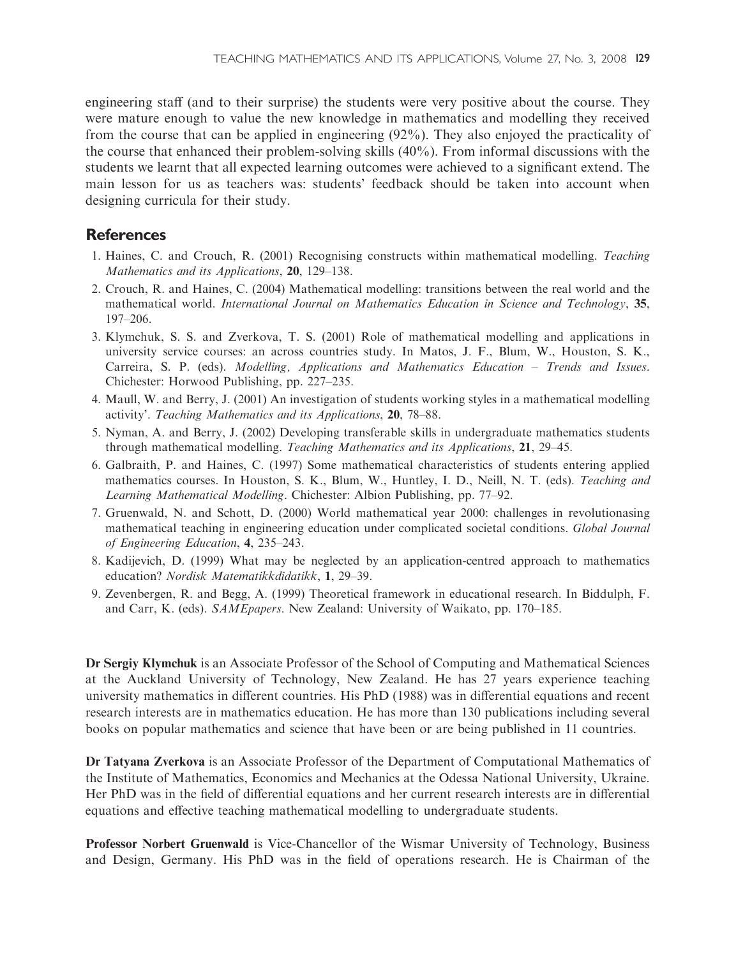engineering staff (and to their surprise) the students were very positive about the course. They were mature enough to value the new knowledge in mathematics and modelling they received from the course that can be applied in engineering (92%). They also enjoyed the practicality of the course that enhanced their problem-solving skills (40%). From informal discussions with the students we learnt that all expected learning outcomes were achieved to a significant extend. The main lesson for us as teachers was: students' feedback should be taken into account when designing curricula for their study.

#### **References**

- 1. Haines, C. and Crouch, R. (2001) Recognising constructs within mathematical modelling. Teaching Mathematics and its Applications, 20, 129–138.
- 2. Crouch, R. and Haines, C. (2004) Mathematical modelling: transitions between the real world and the mathematical world. International Journal on Mathematics Education in Science and Technology, 35, 197–206.
- 3. Klymchuk, S. S. and Zverkova, T. S. (2001) Role of mathematical modelling and applications in university service courses: an across countries study. In Matos, J. F., Blum, W., Houston, S. K., Carreira, S. P. (eds). Modelling, Applications and Mathematics Education – Trends and Issues. Chichester: Horwood Publishing, pp. 227–235.
- 4. Maull, W. and Berry, J. (2001) An investigation of students working styles in a mathematical modelling activity'. Teaching Mathematics and its Applications, 20, 78–88.
- 5. Nyman, A. and Berry, J. (2002) Developing transferable skills in undergraduate mathematics students through mathematical modelling. Teaching Mathematics and its Applications, 21, 29–45.
- 6. Galbraith, P. and Haines, C. (1997) Some mathematical characteristics of students entering applied mathematics courses. In Houston, S. K., Blum, W., Huntley, I. D., Neill, N. T. (eds). Teaching and Learning Mathematical Modelling. Chichester: Albion Publishing, pp. 77–92.
- 7. Gruenwald, N. and Schott, D. (2000) World mathematical year 2000: challenges in revolutionasing mathematical teaching in engineering education under complicated societal conditions. Global Journal of Engineering Education, 4, 235–243.
- 8. Kadijevich, D. (1999) What may be neglected by an application-centred approach to mathematics education? Nordisk Matematikkdidatikk, 1, 29–39.
- 9. Zevenbergen, R. and Begg, A. (1999) Theoretical framework in educational research. In Biddulph, F. and Carr, K. (eds). SAMEpapers. New Zealand: University of Waikato, pp. 170–185.

Dr Sergiy Klymchuk is an Associate Professor of the School of Computing and Mathematical Sciences at the Auckland University of Technology, New Zealand. He has 27 years experience teaching university mathematics in different countries. His PhD (1988) was in differential equations and recent research interests are in mathematics education. He has more than 130 publications including several books on popular mathematics and science that have been or are being published in 11 countries.

Dr Tatyana Zverkova is an Associate Professor of the Department of Computational Mathematics of the Institute of Mathematics, Economics and Mechanics at the Odessa National University, Ukraine. Her PhD was in the field of differential equations and her current research interests are in differential equations and effective teaching mathematical modelling to undergraduate students.

Professor Norbert Gruenwald is Vice-Chancellor of the Wismar University of Technology, Business and Design, Germany. His PhD was in the field of operations research. He is Chairman of the